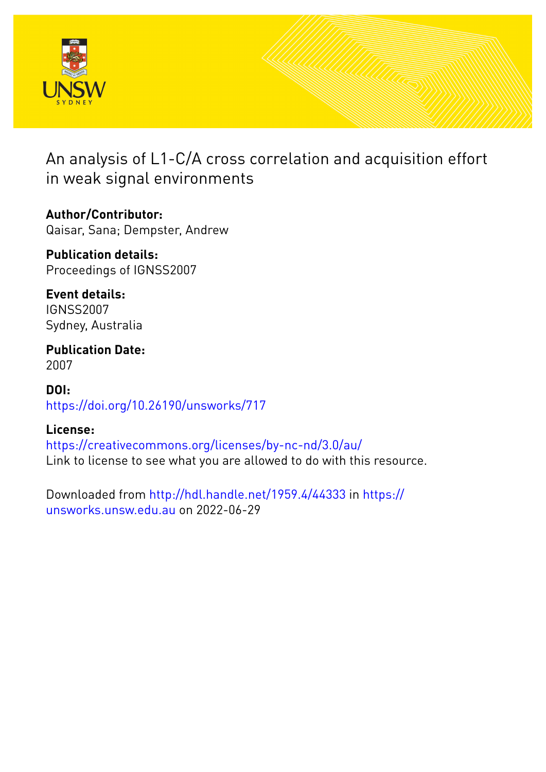

An analysis of L1-C/A cross correlation and acquisition effort in weak signal environments

**Author/Contributor:** Qaisar, Sana; Dempster, Andrew

**Publication details:** Proceedings of IGNSS2007

**Event details:** IGNSS2007 Sydney, Australia

**Publication Date:** 2007

**DOI:** [https://doi.org/10.26190/unsworks/717](http://dx.doi.org/https://doi.org/10.26190/unsworks/717)

# **License:**

<https://creativecommons.org/licenses/by-nc-nd/3.0/au/> Link to license to see what you are allowed to do with this resource.

Downloaded from <http://hdl.handle.net/1959.4/44333> in [https://](https://unsworks.unsw.edu.au) [unsworks.unsw.edu.au](https://unsworks.unsw.edu.au) on 2022-06-29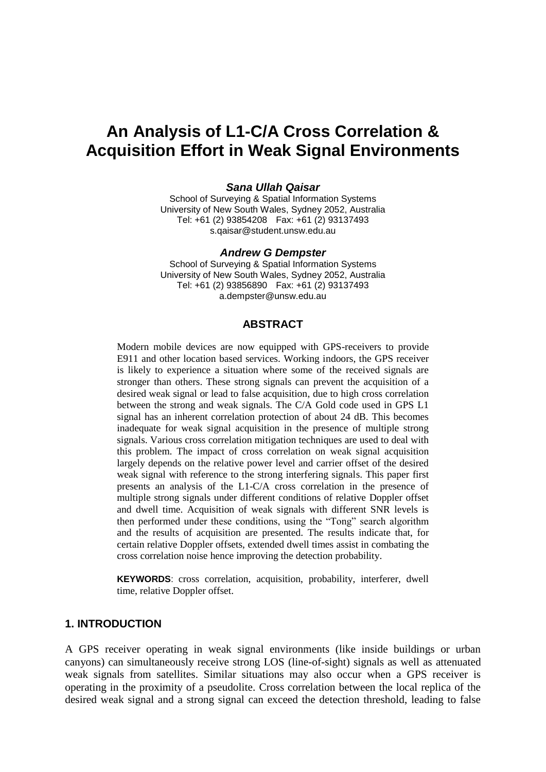# **An Analysis of L1-C/A Cross Correlation & Acquisition Effort in Weak Signal Environments**

#### *Sana Ullah Qaisar*

School of Surveying & Spatial Information Systems University of New South Wales, Sydney 2052, Australia Tel: +61 (2) 93854208 Fax: +61 (2) 93137493 s.qaisar@student.unsw.edu.au

#### *Andrew G Dempster*

School of Surveying & Spatial Information Systems University of New South Wales, Sydney 2052, Australia Tel: +61 (2) 93856890 Fax: +61 (2) 93137493 a.dempster@unsw.edu.au

#### **ABSTRACT**

Modern mobile devices are now equipped with GPS-receivers to provide E911 and other location based services. Working indoors, the GPS receiver is likely to experience a situation where some of the received signals are stronger than others. These strong signals can prevent the acquisition of a desired weak signal or lead to false acquisition, due to high cross correlation between the strong and weak signals. The C/A Gold code used in GPS L1 signal has an inherent correlation protection of about 24 dB. This becomes inadequate for weak signal acquisition in the presence of multiple strong signals. Various cross correlation mitigation techniques are used to deal with this problem. The impact of cross correlation on weak signal acquisition largely depends on the relative power level and carrier offset of the desired weak signal with reference to the strong interfering signals. This paper first presents an analysis of the L1-C/A cross correlation in the presence of multiple strong signals under different conditions of relative Doppler offset and dwell time. Acquisition of weak signals with different SNR levels is then performed under these conditions, using the "Tong" search algorithm and the results of acquisition are presented. The results indicate that, for certain relative Doppler offsets, extended dwell times assist in combating the cross correlation noise hence improving the detection probability.

**KEYWORDS**: cross correlation, acquisition, probability, interferer, dwell time, relative Doppler offset.

#### **1. INTRODUCTION**

A GPS receiver operating in weak signal environments (like inside buildings or urban canyons) can simultaneously receive strong LOS (line-of-sight) signals as well as attenuated weak signals from satellites. Similar situations may also occur when a GPS receiver is operating in the proximity of a pseudolite. Cross correlation between the local replica of the desired weak signal and a strong signal can exceed the detection threshold, leading to false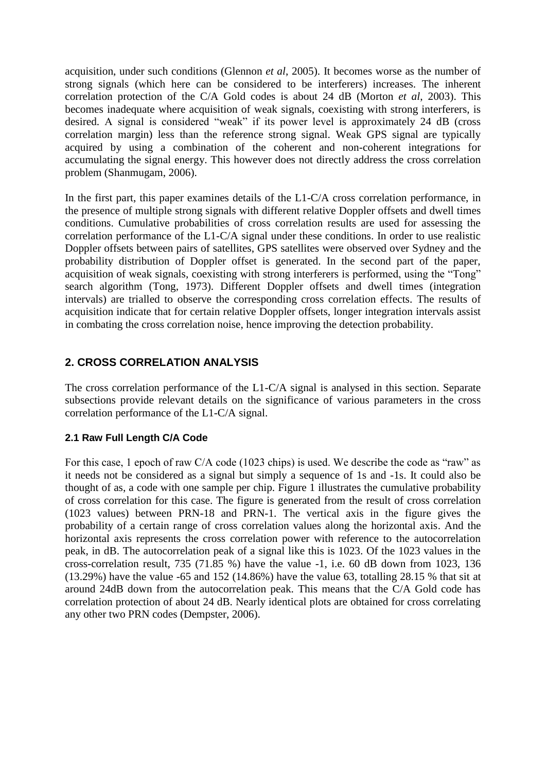acquisition, under such conditions (Glennon *et al*, 2005). It becomes worse as the number of strong signals (which here can be considered to be interferers) increases. The inherent correlation protection of the C/A Gold codes is about 24 dB (Morton *et al*, 2003). This becomes inadequate where acquisition of weak signals, coexisting with strong interferers, is desired. A signal is considered "weak" if its power level is approximately 24 dB (cross correlation margin) less than the reference strong signal. Weak GPS signal are typically acquired by using a combination of the coherent and non-coherent integrations for accumulating the signal energy. This however does not directly address the cross correlation problem (Shanmugam, 2006).

In the first part, this paper examines details of the L1-C/A cross correlation performance, in the presence of multiple strong signals with different relative Doppler offsets and dwell times conditions. Cumulative probabilities of cross correlation results are used for assessing the correlation performance of the L1-C/A signal under these conditions. In order to use realistic Doppler offsets between pairs of satellites, GPS satellites were observed over Sydney and the probability distribution of Doppler offset is generated. In the second part of the paper, acquisition of weak signals, coexisting with strong interferers is performed, using the "Tong" search algorithm (Tong, 1973). Different Doppler offsets and dwell times (integration intervals) are trialled to observe the corresponding cross correlation effects. The results of acquisition indicate that for certain relative Doppler offsets, longer integration intervals assist in combating the cross correlation noise, hence improving the detection probability.

# **2. CROSS CORRELATION ANALYSIS**

The cross correlation performance of the L1-C/A signal is analysed in this section. Separate subsections provide relevant details on the significance of various parameters in the cross correlation performance of the L1-C/A signal.

# **2.1 Raw Full Length C/A Code**

For this case, 1 epoch of raw C/A code (1023 chips) is used. We describe the code as "raw" as it needs not be considered as a signal but simply a sequence of 1s and -1s. It could also be thought of as, a code with one sample per chip. Figure 1 illustrates the cumulative probability of cross correlation for this case. The figure is generated from the result of cross correlation (1023 values) between PRN-18 and PRN-1. The vertical axis in the figure gives the probability of a certain range of cross correlation values along the horizontal axis. And the horizontal axis represents the cross correlation power with reference to the autocorrelation peak, in dB. The autocorrelation peak of a signal like this is 1023. Of the 1023 values in the cross-correlation result, 735 (71.85 %) have the value -1, i.e. 60 dB down from 1023, 136 (13.29%) have the value -65 and 152 (14.86%) have the value 63, totalling 28.15 % that sit at around 24dB down from the autocorrelation peak. This means that the C/A Gold code has correlation protection of about 24 dB. Nearly identical plots are obtained for cross correlating any other two PRN codes (Dempster, 2006).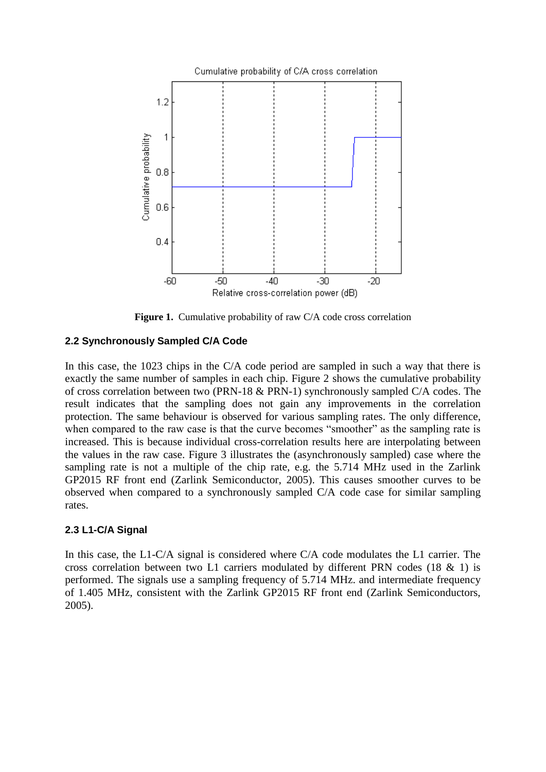

Figure 1. Cumulative probability of raw C/A code cross correlation

# **2.2 Synchronously Sampled C/A Code**

In this case, the 1023 chips in the C/A code period are sampled in such a way that there is exactly the same number of samples in each chip. Figure 2 shows the cumulative probability of cross correlation between two (PRN-18 & PRN-1) synchronously sampled C/A codes. The result indicates that the sampling does not gain any improvements in the correlation protection. The same behaviour is observed for various sampling rates. The only difference, when compared to the raw case is that the curve becomes "smoother" as the sampling rate is increased. This is because individual cross-correlation results here are interpolating between the values in the raw case. Figure 3 illustrates the (asynchronously sampled) case where the sampling rate is not a multiple of the chip rate, e.g. the 5.714 MHz used in the Zarlink GP2015 RF front end (Zarlink Semiconductor, 2005). This causes smoother curves to be observed when compared to a synchronously sampled C/A code case for similar sampling rates.

# **2.3 L1-C/A Signal**

In this case, the L1-C/A signal is considered where C/A code modulates the L1 carrier. The cross correlation between two L1 carriers modulated by different PRN codes (18 & 1) is performed. The signals use a sampling frequency of 5.714 MHz. and intermediate frequency of 1.405 MHz, consistent with the Zarlink GP2015 RF front end (Zarlink Semiconductors, 2005).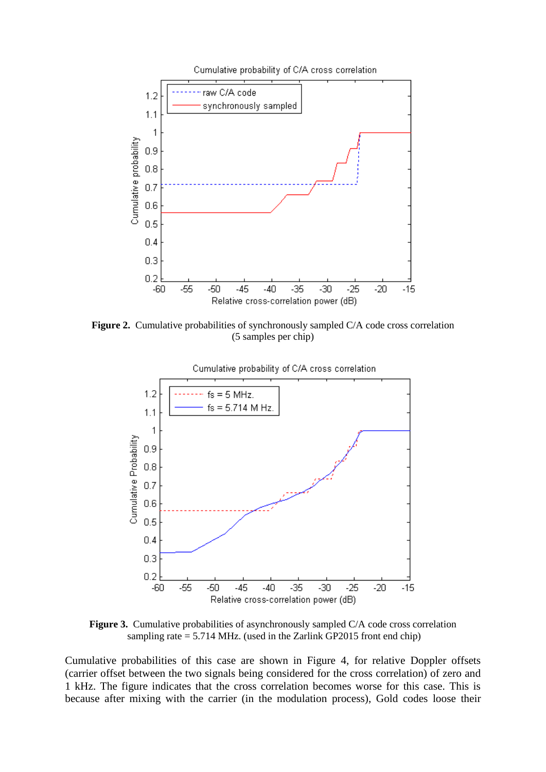

Figure 2. Cumulative probabilities of synchronously sampled C/A code cross correlation (5 samples per chip)



**Figure 3.** Cumulative probabilities of asynchronously sampled C/A code cross correlation sampling rate = 5.714 MHz. (used in the Zarlink GP2015 front end chip)

Cumulative probabilities of this case are shown in Figure 4, for relative Doppler offsets (carrier offset between the two signals being considered for the cross correlation) of zero and 1 kHz. The figure indicates that the cross correlation becomes worse for this case. This is because after mixing with the carrier (in the modulation process), Gold codes loose their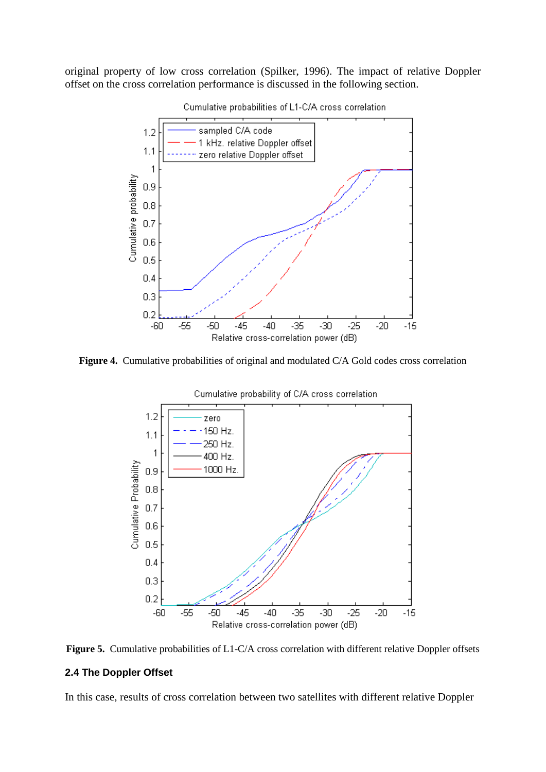original property of low cross correlation (Spilker, 1996). The impact of relative Doppler offset on the cross correlation performance is discussed in the following section.



Cumulative probabilities of L1-C/A cross correlation

Figure 4. Cumulative probabilities of original and modulated C/A Gold codes cross correlation



**Figure 5.** Cumulative probabilities of L1-C/A cross correlation with different relative Doppler offsets

#### **2.4 The Doppler Offset**

In this case, results of cross correlation between two satellites with different relative Doppler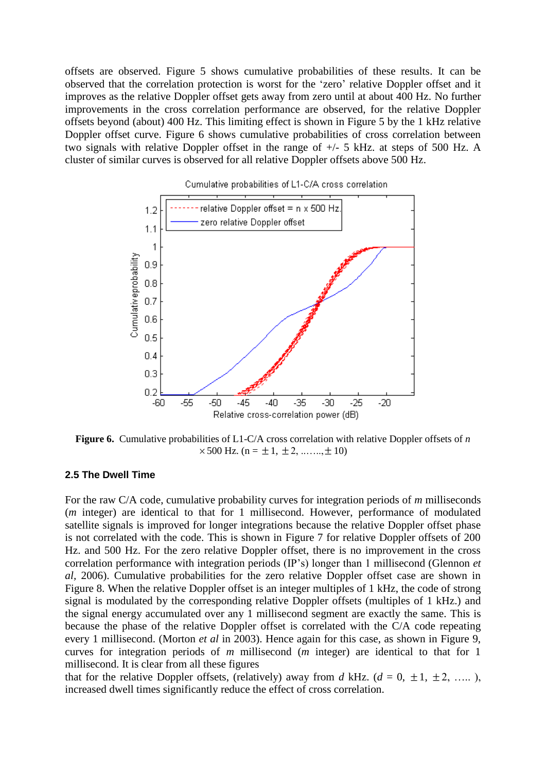offsets are observed. Figure 5 shows cumulative probabilities of these results. It can be observed that the correlation protection is worst for the "zero" relative Doppler offset and it improves as the relative Doppler offset gets away from zero until at about 400 Hz. No further improvements in the cross correlation performance are observed, for the relative Doppler offsets beyond (about) 400 Hz. This limiting effect is shown in Figure 5 by the 1 kHz relative Doppler offset curve. Figure 6 shows cumulative probabilities of cross correlation between two signals with relative Doppler offset in the range of +/- 5 kHz. at steps of 500 Hz. A cluster of similar curves is observed for all relative Doppler offsets above 500 Hz.



Cumulative probabilities of L1-C/A cross correlation

**Figure 6.** Cumulative probabilities of L1-C/A cross correlation with relative Doppler offsets of *n*  $\times$  500 Hz. (n =  $\pm$  1,  $\pm$  2, ......,  $\pm$  10)

#### **2.5 The Dwell Time**

For the raw C/A code, cumulative probability curves for integration periods of *m* milliseconds (*m* integer) are identical to that for 1 millisecond. However, performance of modulated satellite signals is improved for longer integrations because the relative Doppler offset phase is not correlated with the code. This is shown in Figure 7 for relative Doppler offsets of 200 Hz. and 500 Hz. For the zero relative Doppler offset, there is no improvement in the cross correlation performance with integration periods (IP"s) longer than 1 millisecond (Glennon *et al,* 2006). Cumulative probabilities for the zero relative Doppler offset case are shown in Figure 8. When the relative Doppler offset is an integer multiples of 1 kHz, the code of strong signal is modulated by the corresponding relative Doppler offsets (multiples of 1 kHz.) and the signal energy accumulated over any 1 millisecond segment are exactly the same. This is because the phase of the relative Doppler offset is correlated with the C/A code repeating every 1 millisecond. (Morton *et al* in 2003). Hence again for this case, as shown in Figure 9, curves for integration periods of *m* millisecond (*m* integer) are identical to that for 1 millisecond. It is clear from all these figures

that for the relative Doppler offsets, (relatively) away from *d* kHz.  $(d = 0, \pm 1, \pm 2, \dots)$ , increased dwell times significantly reduce the effect of cross correlation.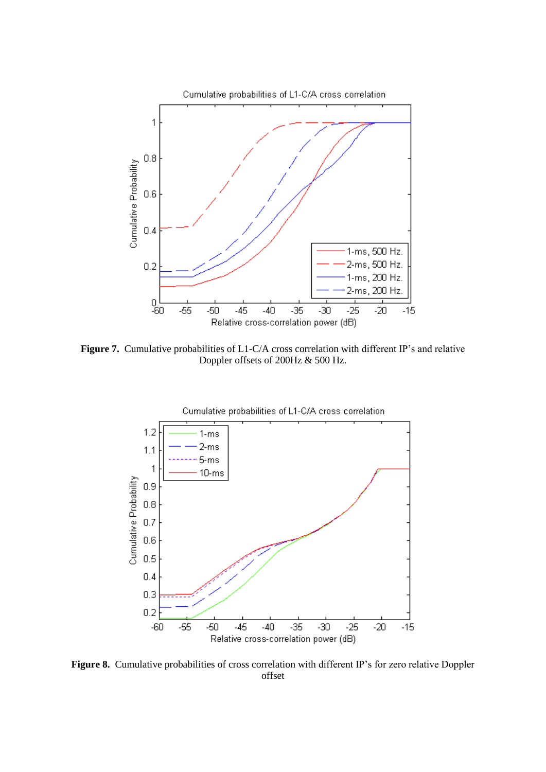

Figure 7. Cumulative probabilities of L1-C/A cross correlation with different IP's and relative Doppler offsets of 200Hz & 500 Hz.



Figure 8. Cumulative probabilities of cross correlation with different IP's for zero relative Doppler offset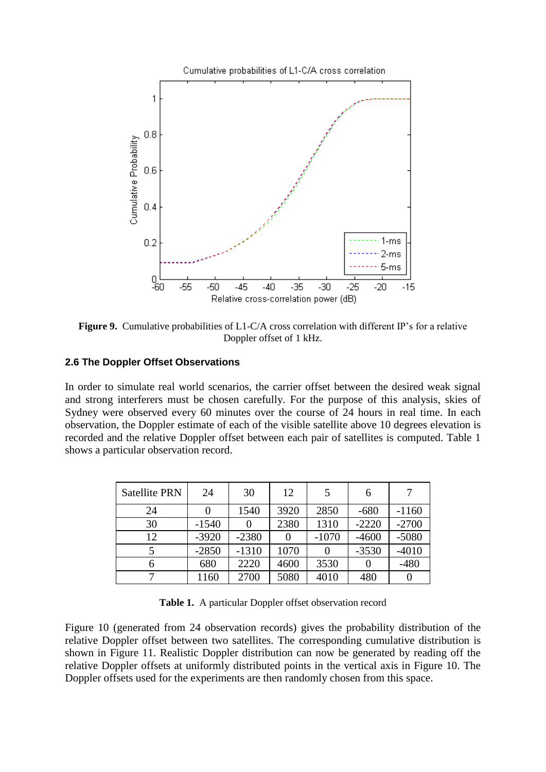

Figure 9. Cumulative probabilities of L1-C/A cross correlation with different IP's for a relative Doppler offset of 1 kHz.

#### **2.6 The Doppler Offset Observations**

In order to simulate real world scenarios, the carrier offset between the desired weak signal and strong interferers must be chosen carefully. For the purpose of this analysis, skies of Sydney were observed every 60 minutes over the course of 24 hours in real time. In each observation, the Doppler estimate of each of the visible satellite above 10 degrees elevation is recorded and the relative Doppler offset between each pair of satellites is computed. Table 1 shows a particular observation record.

| <b>Satellite PRN</b> | 24      | 30      | 12   | 5                | 6       |         |
|----------------------|---------|---------|------|------------------|---------|---------|
| 24                   |         | 1540    | 3920 | 2850             | $-680$  | $-1160$ |
| 30                   | $-1540$ |         | 2380 | 1310             | $-2220$ | $-2700$ |
| 12                   | $-3920$ | $-2380$ |      | $-1070$          | $-4600$ | $-5080$ |
|                      | $-2850$ | $-1310$ | 1070 | $\left( \right)$ | $-3530$ | $-4010$ |
| 6                    | 680     | 2220    | 4600 | 3530             |         | $-480$  |
|                      | 1160    | 2700    | 5080 | 4010             | 480     |         |

**Table 1.** A particular Doppler offset observation record

Figure 10 (generated from 24 observation records) gives the probability distribution of the relative Doppler offset between two satellites. The corresponding cumulative distribution is shown in Figure 11. Realistic Doppler distribution can now be generated by reading off the relative Doppler offsets at uniformly distributed points in the vertical axis in Figure 10. The Doppler offsets used for the experiments are then randomly chosen from this space.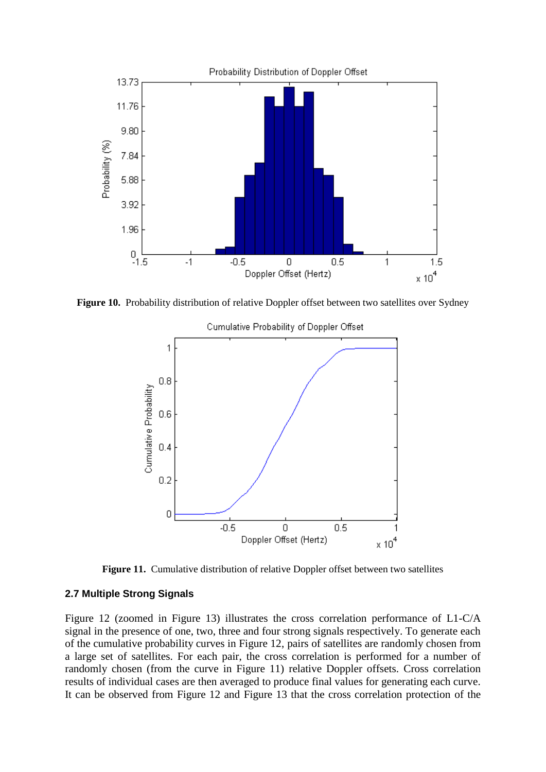

Figure 10. Probability distribution of relative Doppler offset between two satellites over Sydney



Cumulative Probability of Doppler Offset

Figure 11. Cumulative distribution of relative Doppler offset between two satellites

#### **2.7 Multiple Strong Signals**

Figure 12 (zoomed in Figure 13) illustrates the cross correlation performance of L1-C/A signal in the presence of one, two, three and four strong signals respectively. To generate each of the cumulative probability curves in Figure 12, pairs of satellites are randomly chosen from a large set of satellites. For each pair, the cross correlation is performed for a number of randomly chosen (from the curve in Figure 11) relative Doppler offsets. Cross correlation results of individual cases are then averaged to produce final values for generating each curve. It can be observed from Figure 12 and Figure 13 that the cross correlation protection of the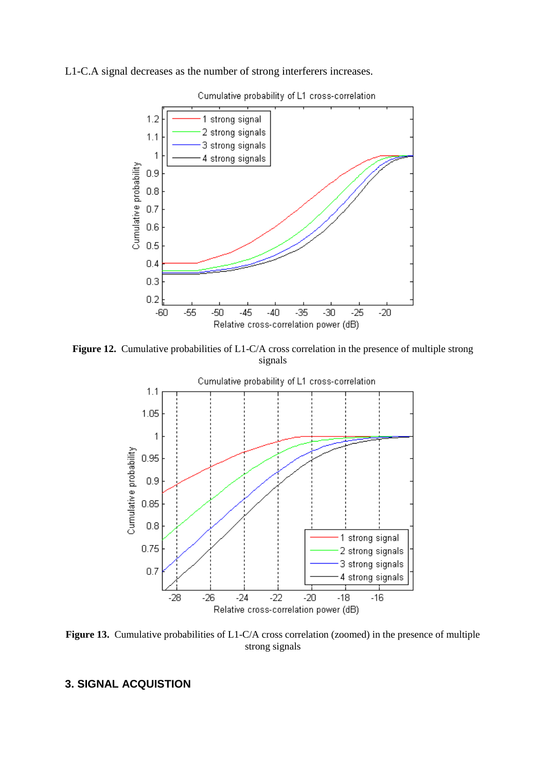### L1-C.A signal decreases as the number of strong interferers increases.



Cumulative probability of L1 cross-correlation

**Figure 12.** Cumulative probabilities of L1-C/A cross correlation in the presence of multiple strong signals



**Figure 13.** Cumulative probabilities of L1-C/A cross correlation (zoomed) in the presence of multiple strong signals

# **3. SIGNAL ACQUISTION**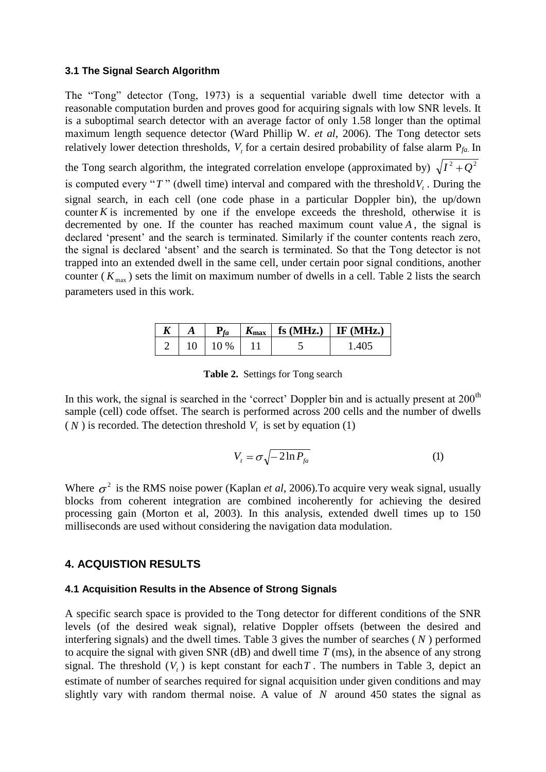#### **3.1 The Signal Search Algorithm**

The "Tong" detector (Tong, 1973) is a sequential variable dwell time detector with a reasonable computation burden and proves good for acquiring signals with low SNR levels. It is a suboptimal search detector with an average factor of only 1.58 longer than the optimal maximum length sequence detector (Ward Phillip W. *et al*, 2006). The Tong detector sets relatively lower detection thresholds, *Vt* for a certain desired probability of false alarm P*fa.* In

the Tong search algorithm, the integrated correlation envelope (approximated by)  $\sqrt{I^2 + Q^2}$ 

is computed every " $T$ " (dwell time) interval and compared with the threshold  $V<sub>t</sub>$ . During the signal search, in each cell (one code phase in a particular Doppler bin), the up/down counter  $K$  is incremented by one if the envelope exceeds the threshold, otherwise it is decremented by one. If the counter has reached maximum count value *A* , the signal is declared 'present' and the search is terminated. Similarly if the counter contents reach zero, the signal is declared "absent" and the search is terminated. So that the Tong detector is not trapped into an extended dwell in the same cell, under certain poor signal conditions, another counter ( $K_{\text{max}}$ ) sets the limit on maximum number of dwells in a cell. Table 2 lists the search parameters used in this work.

|  |            | $\mathbf{A}_{\text{max}}$ | fs $(MHz.)$ IF $(MHz.)$ |
|--|------------|---------------------------|-------------------------|
|  | 10<br>$\%$ |                           |                         |

**Table 2.** Settings for Tong search

In this work, the signal is searched in the 'correct' Doppler bin and is actually present at  $200<sup>th</sup>$ sample (cell) code offset. The search is performed across 200 cells and the number of dwells  $(N)$  is recorded. The detection threshold  $V<sub>t</sub>$  is set by equation (1)

$$
V_t = \sigma \sqrt{-2\ln P_{fa}} \tag{1}
$$

Where  $\sigma^2$  is the RMS noise power (Kaplan *et al*, 2006). To acquire very weak signal, usually blocks from coherent integration are combined incoherently for achieving the desired processing gain (Morton et al, 2003). In this analysis, extended dwell times up to 150 milliseconds are used without considering the navigation data modulation.

#### **4. ACQUISTION RESULTS**

#### **4.1 Acquisition Results in the Absence of Strong Signals**

A specific search space is provided to the Tong detector for different conditions of the SNR levels (of the desired weak signal), relative Doppler offsets (between the desired and interfering signals) and the dwell times. Table 3 gives the number of searches ( *N* ) performed to acquire the signal with given SNR ( $dB$ ) and dwell time  $T$  (ms), in the absence of any strong signal. The threshold  $(V<sub>t</sub>)$  is kept constant for each T. The numbers in Table 3, depict an estimate of number of searches required for signal acquisition under given conditions and may slightly vary with random thermal noise. A value of  $N$  around 450 states the signal as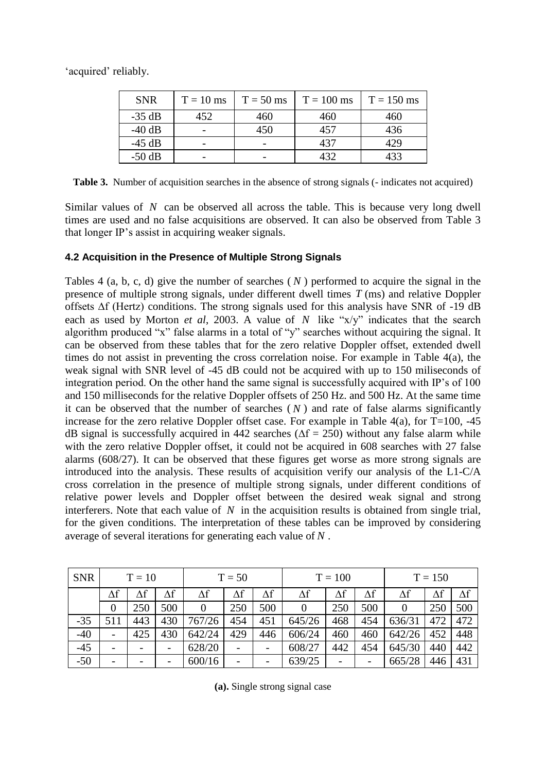'acquired' reliably.

| <b>SNR</b> | $T = 10$ ms | $T = 50$ ms | $T = 100$ ms | $T = 150$ ms |
|------------|-------------|-------------|--------------|--------------|
| $-35$ dB   | 452         | 460         | 460          | 460          |
| $-40$ dB   |             | 450         | 457          | 436          |
| $-45$ dB   |             |             | 437          | 129          |
| $-50$ dB   | -           |             | 432          | 433          |

**Table 3.** Number of acquisition searches in the absence of strong signals (- indicates not acquired)

Similar values of N can be observed all across the table. This is because very long dwell times are used and no false acquisitions are observed. It can also be observed from Table 3 that longer IP"s assist in acquiring weaker signals.

### **4.2 Acquisition in the Presence of Multiple Strong Signals**

Tables  $4$  (a, b, c, d) give the number of searches  $(N)$  performed to acquire the signal in the presence of multiple strong signals, under different dwell times *T* (ms) and relative Doppler offsets ∆f (Hertz) conditions. The strong signals used for this analysis have SNR of -19 dB each as used by Morton *et al*, 2003. A value of  $N$  like " $x/y$ " indicates that the search algorithm produced "x" false alarms in a total of "y" searches without acquiring the signal. It can be observed from these tables that for the zero relative Doppler offset, extended dwell times do not assist in preventing the cross correlation noise. For example in Table 4(a), the weak signal with SNR level of -45 dB could not be acquired with up to 150 miliseconds of integration period. On the other hand the same signal is successfully acquired with IP"s of 100 and 150 milliseconds for the relative Doppler offsets of 250 Hz. and 500 Hz. At the same time it can be observed that the number of searches  $(N)$  and rate of false alarms significantly increase for the zero relative Doppler offset case. For example in Table 4(a), for  $T=100, -45$ dB signal is successfully acquired in 442 searches ( $\Delta f = 250$ ) without any false alarm while with the zero relative Doppler offset, it could not be acquired in 608 searches with 27 false alarms (608/27). It can be observed that these figures get worse as more strong signals are introduced into the analysis. These results of acquisition verify our analysis of the L1-C/A cross correlation in the presence of multiple strong signals, under different conditions of relative power levels and Doppler offset between the desired weak signal and strong interferers. Note that each value of  $N$  in the acquisition results is obtained from single trial, for the given conditions. The interpretation of these tables can be improved by considering average of several iterations for generating each value of *N* .

| <b>SNR</b> | $T = 10$       |                          | $T = 50$   |                |            | $T = 100$ |            |            | $T = 150$  |          |     |            |
|------------|----------------|--------------------------|------------|----------------|------------|-----------|------------|------------|------------|----------|-----|------------|
|            | Δf             | $\Delta f$               | $\Delta f$ | Δf             | $\Delta f$ | Δf        | $\Delta f$ | $\Delta f$ | $\Delta f$ | Δf       | Δf  | $\Delta f$ |
|            | $\overline{0}$ | 250                      | 500        | $\overline{0}$ | 250        | 500       |            | 250        | 500        | $\theta$ | 250 | 500        |
| $-35$      | 511            | 443                      | 430        | 767/26         | 454        | 451       | 645/26     | 468        | 454        | 636/31   | 472 | 472        |
| $-40$      | -              | 425                      | 430        | 642/24         | 429        | 446       | 606/24     | 460        | 460        | 642/26   | 452 | 448        |
| $-45$      | -              | $\overline{\phantom{0}}$ | -          | 628/20         |            | -         | 608/27     | 442        | 454        | 645/30   | 440 | 442        |
| $-50$      | -              | $\overline{\phantom{0}}$ | -          | 600/16         |            | -         | 639/25     |            |            | 665/28   | 446 | 431        |

**(a).** Single strong signal case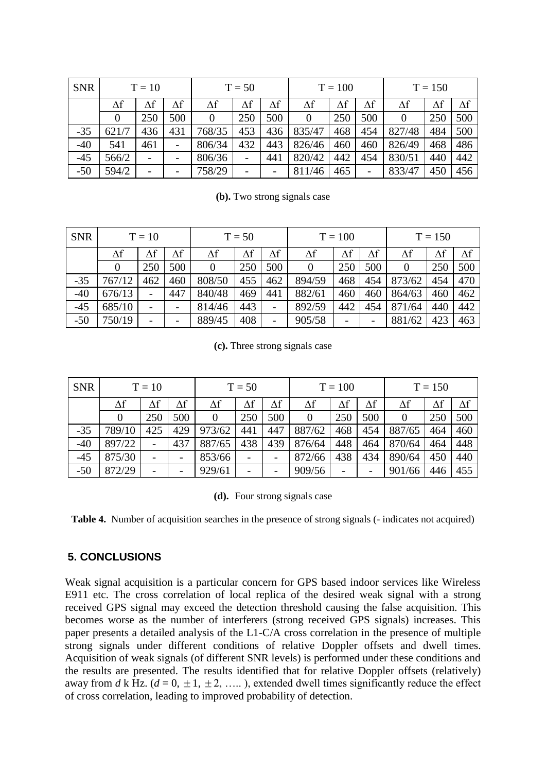| <b>SNR</b> | $T = 10$ |            | $T = 50$   |        |            | $T = 100$                |                |     | $T = 150$  |            |     |            |
|------------|----------|------------|------------|--------|------------|--------------------------|----------------|-----|------------|------------|-----|------------|
|            | Δf       | $\Delta f$ | $\Delta f$ | Δf     | $\Delta f$ | Δf                       | Δf             | Δf  | $\Delta f$ | $\Delta f$ | Δf  | $\Delta f$ |
|            |          | 250        | 500        | 0      | 250        | 500                      | $\overline{0}$ | 250 | 500        | $\theta$   | 250 | 500        |
| $-35$      | 621/7    | 436        | 431        | 768/35 | 453        | 436                      | 835/47         | 468 | 454        | 827/48     | 484 | 500        |
| $-40$      | 541      | 461        |            | 806/34 | 432        | 443                      | 826/46         | 460 | 460        | 826/49     | 468 | 486        |
| $-45$      | 566/2    |            |            | 806/36 |            | 441                      | 820/42         | 442 | 454        | 830/51     | 440 | 442        |
| $-50$      | 594/2    |            |            | 758/29 | -          | $\overline{\phantom{0}}$ | 811/46         | 465 | -          | 833/47     | 450 | 456        |

**(b).** Two strong signals case

| <b>SNR</b> | $T = 10$ |     |            | $T = 50$ |     |            | $T = 100$  |     |                          | $T = 150$ |     |     |
|------------|----------|-----|------------|----------|-----|------------|------------|-----|--------------------------|-----------|-----|-----|
|            | Δf       | Δf  | $\Delta f$ | Δf       |     | $\Delta f$ | $\Delta f$ |     | $\Delta f$               | Δf        | Δf  | Δf  |
|            |          | 250 | 500        | 0        | 250 | 500        | 0          | 250 | 500                      | $\theta$  | 250 | 500 |
| $-35$      | 767/12   | 462 | 460        | 808/50   | 455 | 462        | 894/59     | 468 | 454                      | 873/62    | 454 | 470 |
| $-40$      | 676/13   | -   | 447        | 840/48   | 469 | 441        | 882/61     | 460 | 460                      | 864/63    | 460 | 462 |
| $-45$      | 685/10   |     |            | 814/46   | 443 | -          | 892/59     | 442 | 454                      | 871/64    | 440 | 442 |
| $-50$      | 750/19   |     |            | 889/45   | 408 |            | 905/58     |     | $\overline{\phantom{a}}$ | 881/62    | 423 | 463 |

**(c).** Three strong signals case

| <b>SNR</b> | $T = 10$   |            |            | $T = 50$ |            |            | $T = 100$  |            |            | $T = 150$ |            |            |
|------------|------------|------------|------------|----------|------------|------------|------------|------------|------------|-----------|------------|------------|
|            | $\Delta f$ | $\Delta f$ | $\Delta f$ | Δf       | $\Delta f$ | $\Delta f$ | $\Delta f$ | $\Delta f$ | $\Delta f$ | Δf        | $\Delta f$ | $\Delta f$ |
|            |            | 250        | 500        |          | 250        | 500        |            | 250        | 500        | $\Omega$  | 250        | 500        |
| $-35$      | 789/10     | 425        | 429        | 973/62   | 441        | 447        | 887/62     | 468        | 454        | 887/65    | 464        | 460        |
| $-40$      | 897/22     |            | 437        | 887/65   | 438        | 439        | 876/64     | 448        | 464        | 870/64    | 464        | 448        |
| $-45$      | 875/30     |            |            | 853/66   |            |            | 872/66     | 438        | 434        | 890/64    | 450        | 440        |
| $-50$      | 872/29     |            | -          | 929/61   |            |            | 909/56     |            |            | 901/66    | 446        | 455        |

**(d).** Four strong signals case

**Table 4.** Number of acquisition searches in the presence of strong signals (- indicates not acquired)

# **5. CONCLUSIONS**

Weak signal acquisition is a particular concern for GPS based indoor services like Wireless E911 etc. The cross correlation of local replica of the desired weak signal with a strong received GPS signal may exceed the detection threshold causing the false acquisition. This becomes worse as the number of interferers (strong received GPS signals) increases. This paper presents a detailed analysis of the L1-C/A cross correlation in the presence of multiple strong signals under different conditions of relative Doppler offsets and dwell times. Acquisition of weak signals (of different SNR levels) is performed under these conditions and the results are presented. The results identified that for relative Doppler offsets (relatively) away from *d* k Hz. ( $d = 0, \pm 1, \pm 2, \dots$ ), extended dwell times significantly reduce the effect of cross correlation, leading to improved probability of detection.